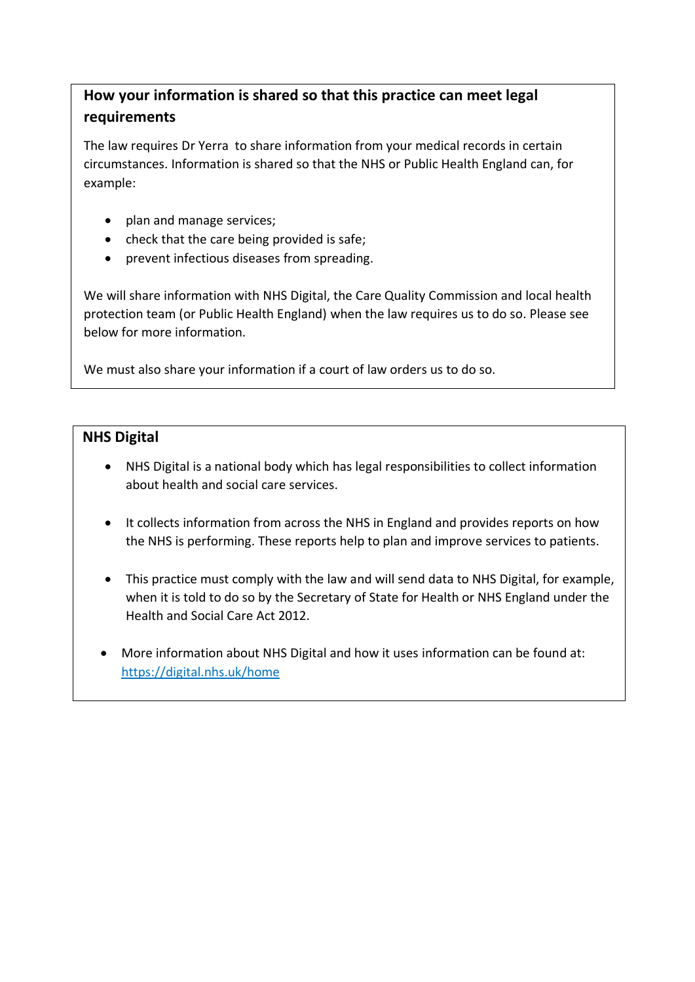## **How your information is shared so that this practice can meet legal requirements**

The law requires Dr Yerra to share information from your medical records in certain circumstances. Information is shared so that the NHS or Public Health England can, for example:

- plan and manage services;
- check that the care being provided is safe;
- prevent infectious diseases from spreading.

We will share information with NHS Digital, the Care Quality Commission and local health protection team (or Public Health England) when the law requires us to do so. Please see below for more information.

We must also share your information if a court of law orders us to do so.

## **NHS Digital**

- NHS Digital is a national body which has legal responsibilities to collect information about health and social care services.
- It collects information from across the NHS in England and provides reports on how the NHS is performing. These reports help to plan and improve services to patients.
- This practice must comply with the law and will send data to NHS Digital, for example, when it is told to do so by the Secretary of State for Health or NHS England under the Health and Social Care Act 2012.
- More information about NHS Digital and how it uses information can be found at: <https://digital.nhs.uk/home>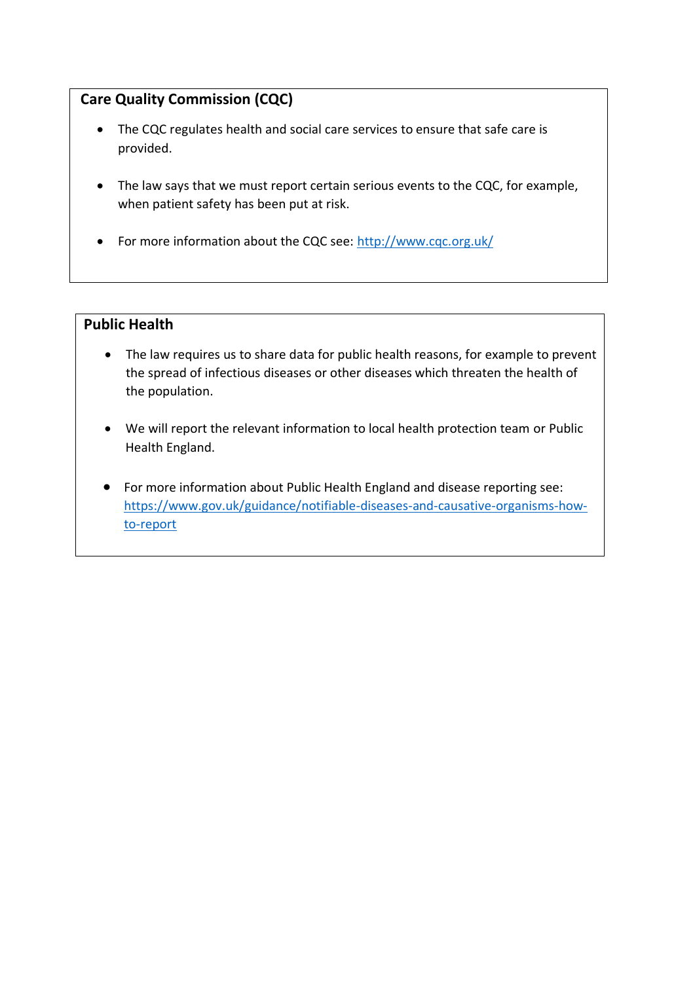## **Care Quality Commission (CQC)**

- The CQC regulates health and social care services to ensure that safe care is provided.
- The law says that we must report certain serious events to the CQC, for example, when patient safety has been put at risk.
- For more information about the CQC see[: http://www.cqc.org.uk/](http://www.cqc.org.uk/)

## **Public Health**

- The law requires us to share data for public health reasons, for example to prevent the spread of infectious diseases or other diseases which threaten the health of the population.
- We will report the relevant information to local health protection team or Public Health England.
- For more information about Public Health England and disease reporting see: [https://www.gov.uk/guidance/notifiable-diseases-and-causative-organisms-how](https://www.gov.uk/guidance/notifiable-diseases-and-causative-organisms-how-to-report)[to-report](https://www.gov.uk/guidance/notifiable-diseases-and-causative-organisms-how-to-report)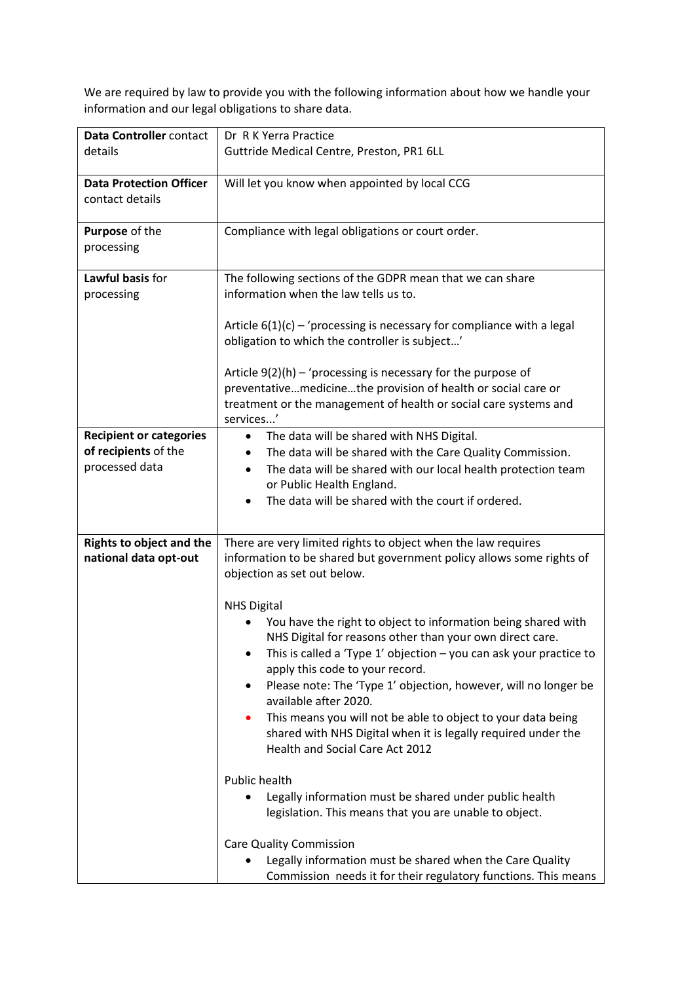We are required by law to provide you with the following information about how we handle your information and our legal obligations to share data.

| Data Controller contact         | Dr R K Yerra Practice                                                      |
|---------------------------------|----------------------------------------------------------------------------|
| details                         | Guttride Medical Centre, Preston, PR1 6LL                                  |
|                                 |                                                                            |
| <b>Data Protection Officer</b>  | Will let you know when appointed by local CCG                              |
| contact details                 |                                                                            |
|                                 |                                                                            |
| Purpose of the                  | Compliance with legal obligations or court order.                          |
| processing                      |                                                                            |
|                                 |                                                                            |
| Lawful basis for                | The following sections of the GDPR mean that we can share                  |
| processing                      | information when the law tells us to.                                      |
|                                 |                                                                            |
|                                 | Article $6(1)(c)$ – 'processing is necessary for compliance with a legal   |
|                                 | obligation to which the controller is subject'                             |
|                                 |                                                                            |
|                                 | Article $9(2)(h)$ – 'processing is necessary for the purpose of            |
|                                 | preventativemedicinethe provision of health or social care or              |
|                                 | treatment or the management of health or social care systems and           |
|                                 | services'                                                                  |
| <b>Recipient or categories</b>  | The data will be shared with NHS Digital.<br>$\bullet$                     |
| of recipients of the            | The data will be shared with the Care Quality Commission.                  |
| processed data                  | The data will be shared with our local health protection team<br>$\bullet$ |
|                                 | or Public Health England.                                                  |
|                                 | The data will be shared with the court if ordered.                         |
|                                 |                                                                            |
| <b>Rights to object and the</b> | There are very limited rights to object when the law requires              |
| national data opt-out           | information to be shared but government policy allows some rights of       |
|                                 | objection as set out below.                                                |
|                                 |                                                                            |
|                                 | <b>NHS Digital</b>                                                         |
|                                 | You have the right to object to information being shared with              |
|                                 | NHS Digital for reasons other than your own direct care.                   |
|                                 | This is called a 'Type $1'$ objection $-$ you can ask your practice to     |
|                                 | apply this code to your record.                                            |
|                                 | Please note: The 'Type 1' objection, however, will no longer be            |
|                                 | available after 2020.                                                      |
|                                 | This means you will not be able to object to your data being               |
|                                 | shared with NHS Digital when it is legally required under the              |
|                                 | Health and Social Care Act 2012                                            |
|                                 |                                                                            |
|                                 | Public health                                                              |
|                                 | Legally information must be shared under public health                     |
|                                 | legislation. This means that you are unable to object.                     |
|                                 | <b>Care Quality Commission</b>                                             |
|                                 | Legally information must be shared when the Care Quality                   |
|                                 | Commission needs it for their regulatory functions. This means             |